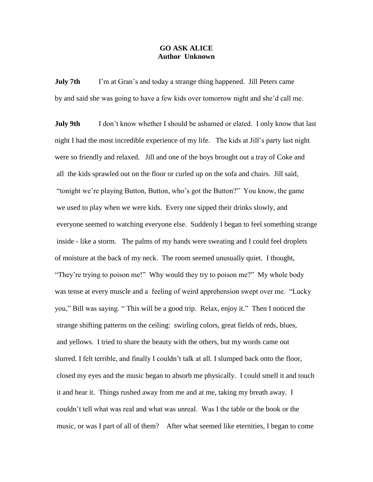## **GO ASK ALICE Author Unknown**

**July 7th** I'm at Gran's and today a strange thing happened. Jill Peters came by and said she was going to have a few kids over tomorrow night and she'd call me.

**July 9th** I don't know whether I should be ashamed or elated. I only know that last night I had the most incredible experience of my life. The kids at Jill's party last night were so friendly and relaxed. Jill and one of the boys brought out a tray of Coke and all the kids sprawled out on the floor or curled up on the sofa and chairs. Jill said, "tonight we're playing Button, Button, who's got the Button?" You know, the game we used to play when we were kids. Every one sipped their drinks slowly, and everyone seemed to watching everyone else. Suddenly I began to feel something strange inside - like a storm. The palms of my hands were sweating and I could feel droplets of moisture at the back of my neck. The room seemed unusually quiet. I thought, "They're trying to poison me!" Why would they try to poison me?" My whole body was tense at every muscle and a feeling of weird apprehension swept over me. "Lucky you," Bill was saying. " This will be a good trip. Relax, enjoy it." Then I noticed the strange shifting patterns on the ceiling: swirling colors, great fields of reds, blues, and yellows. I tried to share the beauty with the others, but my words came out slurred. I felt terrible, and finally I couldn't talk at all. I slumped back onto the floor, closed my eyes and the music began to absorb me physically. I could smell it and touch it and hear it. Things rushed away from me and at me, taking my breath away. I couldn't tell what was real and what was unreal. Was I the table or the book or the music, or was I part of all of them? After what seemed like eternities, I began to come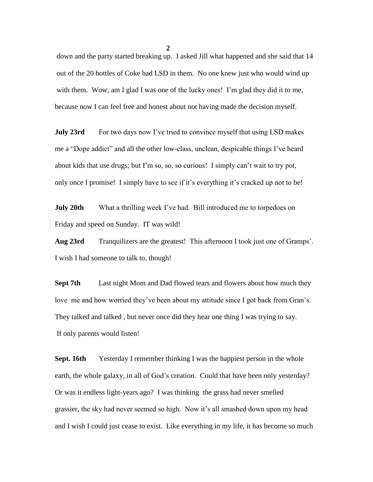down and the party started breaking up. I asked Jill what happened and she said that 14 out of the 20 bottles of Coke had LSD in them. No one knew just who would wind up with them. Wow, am I glad I was one of the lucky ones! I'm glad they did it to me, because now I can feel free and honest about not having made the decision myself.

**July 23rd** For two days now I've tried to convince myself that using LSD makes me a "Dope addict" and all the other low-class, unclean, despicable things I've heard about kids that use drugs; but I'm so, so, so curious! I simply can't wait to try pot, only once I promise! I simply have to see if it's everything it's cracked up not to be!

**July 20th** What a thrilling week I've had. Bill introduced me to torpedoes on Friday and speed on Sunday. IT was wild!

**Aug 23rd** Tranquilizers are the greatest! This afternoon I took just one of Gramps'. I wish I had someone to talk to, though!

**Sept 7th** Last night Mom and Dad flowed tears and flowers about how much they love me and how worried they've been about my attitude since I got back from Gran's. They talked and talked , but never once did they hear one thing I was trying to say. If only parents would listen!

**Sept. 16th** Yesterday I remember thinking I was the happiest person in the whole earth, the whole galaxy, in all of God's creation. Could that have been only yesterday? Or was it endless light-years ago? I was thinking the grass had never smelled grassier, the sky had never seemed so high. Now it's all smashed down upon my head and I wish I could just cease to exist. Like everything in my life, it has become so much

**2**